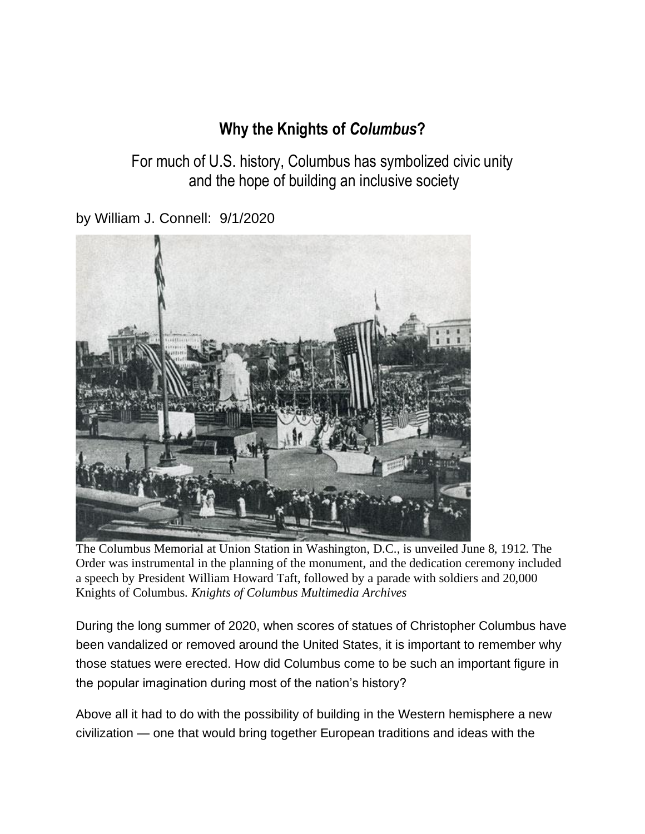## **Why the Knights of** *Columbus***?**

For much of U.S. history, Columbus has symbolized civic unity and the hope of building an inclusive society

by William J. Connell: 9/1/2020



The Columbus Memorial at Union Station in Washington, D.C., is unveiled June 8, 1912. The Order was instrumental in the planning of the monument, and the dedication ceremony included a speech by President William Howard Taft, followed by a parade with soldiers and 20,000 Knights of Columbus. *Knights of Columbus Multimedia Archives*

During the long summer of 2020, when scores of statues of Christopher Columbus have been vandalized or removed around the United States, it is important to remember why those statues were erected. How did Columbus come to be such an important figure in the popular imagination during most of the nation's history?

Above all it had to do with the possibility of building in the Western hemisphere a new civilization — one that would bring together European traditions and ideas with the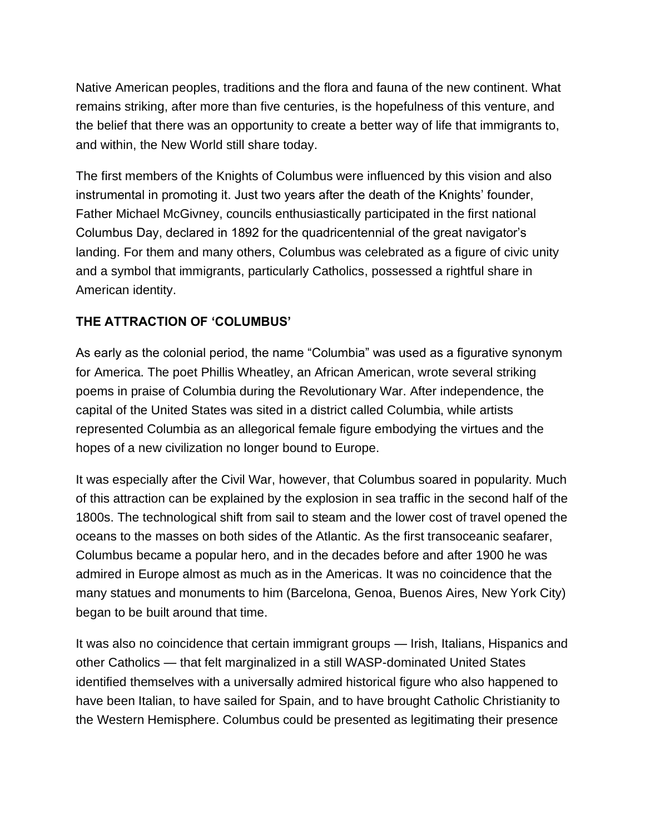Native American peoples, traditions and the flora and fauna of the new continent. What remains striking, after more than five centuries, is the hopefulness of this venture, and the belief that there was an opportunity to create a better way of life that immigrants to, and within, the New World still share today.

The first members of the Knights of Columbus were influenced by this vision and also instrumental in promoting it. Just two years after the death of the Knights' founder, Father Michael McGivney, councils enthusiastically participated in the first national Columbus Day, declared in 1892 for the quadricentennial of the great navigator's landing. For them and many others, Columbus was celebrated as a figure of civic unity and a symbol that immigrants, particularly Catholics, possessed a rightful share in American identity.

## **THE ATTRACTION OF 'COLUMBUS'**

As early as the colonial period, the name "Columbia" was used as a figurative synonym for America. The poet Phillis Wheatley, an African American, wrote several striking poems in praise of Columbia during the Revolutionary War. After independence, the capital of the United States was sited in a district called Columbia, while artists represented Columbia as an allegorical female figure embodying the virtues and the hopes of a new civilization no longer bound to Europe.

It was especially after the Civil War, however, that Columbus soared in popularity. Much of this attraction can be explained by the explosion in sea traffic in the second half of the 1800s. The technological shift from sail to steam and the lower cost of travel opened the oceans to the masses on both sides of the Atlantic. As the first transoceanic seafarer, Columbus became a popular hero, and in the decades before and after 1900 he was admired in Europe almost as much as in the Americas. It was no coincidence that the many statues and monuments to him (Barcelona, Genoa, Buenos Aires, New York City) began to be built around that time.

It was also no coincidence that certain immigrant groups — Irish, Italians, Hispanics and other Catholics — that felt marginalized in a still WASP-dominated United States identified themselves with a universally admired historical figure who also happened to have been Italian, to have sailed for Spain, and to have brought Catholic Christianity to the Western Hemisphere. Columbus could be presented as legitimating their presence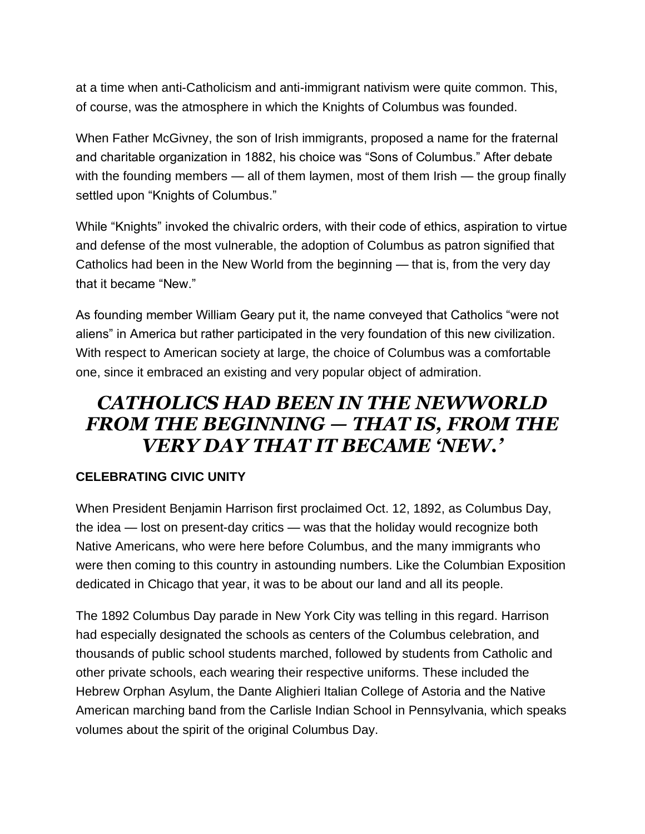at a time when anti-Catholicism and anti-immigrant nativism were quite common. This, of course, was the atmosphere in which the Knights of Columbus was founded.

When Father McGivney, the son of Irish immigrants, proposed a name for the fraternal and charitable organization in 1882, his choice was "Sons of Columbus." After debate with the founding members — all of them laymen, most of them Irish — the group finally settled upon "Knights of Columbus."

While "Knights" invoked the chivalric orders, with their code of ethics, aspiration to virtue and defense of the most vulnerable, the adoption of Columbus as patron signified that Catholics had been in the New World from the beginning — that is, from the very day that it became "New."

As founding member William Geary put it, the name conveyed that Catholics "were not aliens" in America but rather participated in the very foundation of this new civilization. With respect to American society at large, the choice of Columbus was a comfortable one, since it embraced an existing and very popular object of admiration.

## *CATHOLICS HAD BEEN IN THE NEWWORLD FROM THE BEGINNING — THAT IS, FROM THE VERY DAY THAT IT BECAME 'NEW.'*

## **CELEBRATING CIVIC UNITY**

When President Benjamin Harrison first proclaimed Oct. 12, 1892, as Columbus Day, the idea — lost on present-day critics — was that the holiday would recognize both Native Americans, who were here before Columbus, and the many immigrants who were then coming to this country in astounding numbers. Like the Columbian Exposition dedicated in Chicago that year, it was to be about our land and all its people.

The 1892 Columbus Day parade in New York City was telling in this regard. Harrison had especially designated the schools as centers of the Columbus celebration, and thousands of public school students marched, followed by students from Catholic and other private schools, each wearing their respective uniforms. These included the Hebrew Orphan Asylum, the Dante Alighieri Italian College of Astoria and the Native American marching band from the Carlisle Indian School in Pennsylvania, which speaks volumes about the spirit of the original Columbus Day.